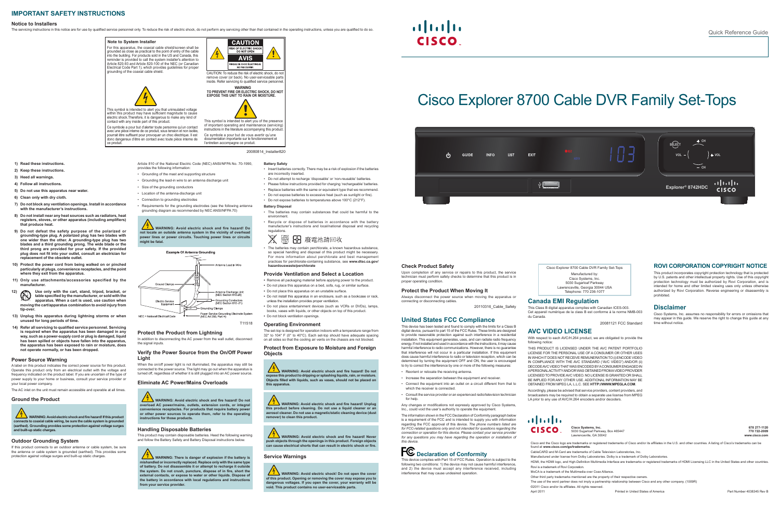# Cisco Explorer 8700 Cable DVR Family Set-Tops



#### **IMPORTANT SAFETY INSTRUCTIONS**

#### **Notice to Installers**

The servicing instructions in this notice are for use by qualified service personnel only. To reduce the risk of electric shock, do not perform any servicing other than that contained in the operating instructions, unless

#### 20080814\_Installer820

#### **Note to System Installer**



**CAUTION** 

### **TO PREVENT FIRE OR ELECTRIC SHOCK, DO NOT EXPOSE THIS UNIT TO RAIN OR MOISTURE.**

For this apparatus, the coaxial cable shield/screen shall be grounded as close as practical to the point of entry of the cable into the building. For products sold in the US and Canada, this reminder is provided to call the system installer's attention to Article 820-93 and Article 820-100 of the NEC (or Canadian Electrical Code Part 1), which provides guidelines for proper grounding of the coaxial cable shield.



This symbol is intended to alert you that uninsulated voltage within this product may have sufficient magnitude to cause electric shock.Therefore, it is dangerous to make any kind of contact with any inside part of this product.

Ce symbole a pour but d'alerter toute personne qu'un contact avec une pièce interne de ce produit, sous tension et non isolée, pourrait être suffisant pour provoquer un choc électrique. Il est donc dangereux d'être en contact avec toute pièce interne de ce produit.



of important operating and maintenance (servicing) instructions in the literature accompanying this product Ce symbole a pour but de vous avertir qu'une documentation importante sur le fonctionnement et l'entretien accompagne ce produit.

#### **1) Read these instructions.**

**WARNING: Avoid electric shock and fire hazard! If this product connects to coaxial cable wiring, be sure the cable system is grounded (earthed). Grounding provides some protection against voltage surges and built-up static charges.**

- **2) Keep these instructions.**
- **3) Heed all warnings.**
- **4) Follow all instructions.**
- **5) Do not use this apparatus near water.**
- **6) Clean only with dry cloth.**
- 
- **7) Do not block any ventilation openings. Install in accordance with the manufacturer's instructions.**
- **8) Do not install near any heat sources such as radiators, heat registers, stoves, or other apparatus (including amplifiers) that produce heat.**
- **9) Do not defeat the safety purpose of the polarized or grounding-type plug. A polarized plug has two blades with one wider than the other. A grounding-type plug has two blades and a third grounding prong. The wide blade or the third prong are provided for your safety. If the provided plug does not fit into your outlet, consult an electrician for replacement of the obsolete outlet.**
- **10) Protect the power cord from being walked on or pinched particularly at plugs, convenience receptacles, and the point where they exit from the apparatus.**
- **11) Only use attachments/accessories specified by the manufacturer.**
- Use only with the cart, stand, tripod, bracket, or<br>table specified by the manufacturer, or sold with the<br>annaratus. When a cart is used, use caution when **table specified by the manufacturer, or sold with the apparatus. When a cart is used, use caution when moving the cart/apparatus combination to avoid injury from tip-over.**
- **13) Unplug this apparatus during lightning storms or when unused for long periods of time.**
- **14) Refer all servicing to qualified service personnel. Servicing is required when the apparatus has been damaged in any way, such as a power-supply cord or plug is damaged, liquid has been spilled or objects have fallen into the apparatus, the apparatus has been exposed to rain or moisture, does not operate normally, or has been dropped.**

 $\sqrt{7}$  WARNING: Avoid electric shock and fire hazard! Do not **expose this product to dripping or splashing liquids, rain, or moisture. Objects fi lled with liquids, such as vases, should not be placed on this apparatus.**

**WARNING: Avoid electric shock and fire hazard! Unplug this product before cleaning. Do not use a liquid cleaner or an aerosol cleaner. Do not use a magnetic/static cleaning device (dust remover) to clean this product.**

**WARNING: Avoid electric shock and fire hazard! Never push objects through the openings in this product. Foreign objects can cause electrical shorts that can result in electric shock or fi re.** 

#### **Power Source Warning**

A label on this product indicates the correct power source for this product. Operate this product only from an electrical outlet with the voltage and frequency indicated on the product label. If you are uncertain of the type of power supply to your home or business, consult your service provider or your local power company.

The AC inlet on the unit must remain accessible and operable at all times.

#### **Ground the Product**

#### **Outdoor Grounding System**

If this product connects to an outdoor antenna or cable system, be sure the antenna or cable system is grounded (earthed). This provides some protection against voltage surges and built-up static charges.

- **Battery Safety** • Insert batteries correctly. There may be a risk of explosion if the batteries
- are incorrectly inserted.
- Do not attempt to recharge 'disposable' or 'non-reusable' batteries.
- Please follow instructions provided for charging 'rechargeable' batteries.
- Replace batteries with the same or equivalent type that we recommend. • Do not expose batteries to excessive heat (such as sunlight or fire).
- Do not expose batteries to temperatures above 100°C (212°F).
- 
- **Battery Disposal**
- The batteries may contain substances that could be harmful to the environment.
- Recycle or dispose of batteries in accordance with the battery manufacturer's instructions and local/national disposal and recycling

# regulations.<br>※ 図 8 廃電池請回收

Cisco Systems, Inc. assumes no responsibility for errors or omissions that may appear in this quide. We reserve the right to change this quide at any time without notic

Cisco and the Cisco logo are trademarks or registered trademarks of Cisco and/or its affiliates in the U.S. and other countries. A listing of Cisco's trademarks can be

• The batteries may contain perchlorate, a known hazardous substance, so special handling and disposal of this product might be necessary. For more information about perchlorate and best management practices for perchlorate-containing substance, see **www.dtsc.ca.gov/ hazardouswaste/perchlorate**

#### **Provide Ventilation and Select a Location**

- **•** Remove all packaging material before applying power to the product.
- **•** Do not place this apparatus on a bed, sofa, rug, or similar surface.
- **•** Do not place this apparatus on an unstable surface. **•** Do not install this apparatus in an enclosure, such as a bookcase or rack,
- unless the installation provides proper ventilation.
- **•** Do not place entertainment devices (such as VCRs or DVDs), lamps, books, vases with liquids, or other objects on top of this product.
- **•** Do not block ventilation openings.

#### **Operating Environment**

**WARNING:** There is danger of explosion if the battery is mishandled or incorrectly replaced. Replace only with the same type<br>of battery. Do not disassemble it or attempt to recharge it outside<br>the system. Do not crush, puncture, dispose of in fire, short the **external contacts, or expose to water or other liquids. Dispose of the battery in accordance with local regulations and instructions from your service provider.** 

Ground Clamps Antenna Discharge Uni<br>(NEC Section 810-20) Grounding Conductor ounding Clamps Power Service Grounding Electrode System<br>" (NEC Art 250, Part H) NEC = National Electrical Code

The set-top is designed for operation indoors with a temperature range from 32° to 104° F (0° to 40°C). Each set-top should have adequate spacing on all sides so that the cooling air vents on the chassis are not blocked.

#### **Protect from Exposure to Moisture and Foreign Objects**

#### **Service Warnings**



**Cisco Systems, Inc. 678 277-1120** 5030 Sugarloaf Parkway, Box 465447 **770 722-2009** Lawrenceville, GA 30042

**void. This product contains no user-serviceable parts.**

## $\frac{1}{2}$ **CISCO**

Cisco Explorer 8700 Cable DVR Family Set-Tops Manufactured by: Cisco Systems, Inc. 5030 Sugarloaf Parkway Lawrenceville, Georgia 30044 USA Telephone: 770 236-1077

#### **Check Product Safety**

Upon completion of any service or repairs to this product, the service technician must perform safety checks to determine that this product is in proper operating condition.

#### **Protect the Product When Moving It**

Always disconnect the power source when moving the apparatus or connecting or disconnecting cables.

20110316\_Cable\_Safety

#### **United States FCC Compliance**

This device has been tested and found to comply with the limits for a Class B digital device, pursuant to part 15 of the FCC Rules. These limits are designed to provide reasonable protection against such interference in a residential installation. This equipment generates, uses, and can radiate radio frequency energy. If not installed and used in accordance with the instructions, it may cause harmful interference to radio communications. However, there is no guarantee that interference will not occur in a particular installation. If this equipment does cause harmful interference to radio or television reception, which can be determined by turning the equipment OFF and ON, the user is encouraged to try to correct the interference by one or more of the following measures:

- Reorient or relocate the receiving antenna.
- Increase the separation between the equipment and receiver
- Connect the equipment into an outlet on a circuit different from that to which the receiver is connected.
- Consult the service provider or an experienced radio/television technician for help.

Any changes or modifications not expressly approved by Cisco Systems Inc., could void the user's authority to operate the equipment

The information shown in the FCC Declaration of Conformity paragraph below is a requirement of the FCC and is intended to supply you with information regarding the FCC approval of this device. *The phone numbers listed are for FCC-related questions only and not intended for questions regarding the*  **connection or operation for this device. Please contact your service provider** *for any questions you may have regarding the operation or installation of this device.*

## **PC** Declaration of Conformity

This device complies with Part 15 of FCC Rules. Operation is subject to the following two conditions: 1) the device may not cause harmful interference and 2) the device must accept any interference received, including interference that may cause undesired operation.

#### **ROVI CORPORATION COPYRIGHT NOTICE**

This product incorporates copyright protection technology that is protected by U.S. patents and other intellectual property rights. Use of this copyright protection technology must be authorized by Rovi Corporation, and is intended for home and other limited viewing uses only unless otherwise authorized by Rovi Corporation. Reverse engineering or disassembly is prohibited.

#### **Disclaimer**

Article 810 of the National Electric Code (NEC) ANSI/NFPA No. 70-1990,

• Grounding of the mast and supporting structure • Grounding the lead-in wire to an antenna discharge unit

• Size of the grounding conductors • Location of the antenna-discharge unit • Connection to grounding electrodes

• Requirements for the grounding electrodes (see the following antenna grounding diagram as recommended by NEC ANSI/NFPA 70)

**WARNING: Avoid electric shock and fire hazard! Do not locate an outside antenna system in the vicinity of overhead power lines or power circuits. Touching power lines or circuits** 

- Antenna Lead In Wire

**Example Of Antenna Grounding** 

**might be fatal.**

provides the following informatio

**Verify the Power Source from the On/Off Power** 

WARNING: Avoid electric shock and fire hazard! Do not

**Light**

When the on/off power light is not illuminated, the apparatus may still be connected to the power source. The light may go out when the apparatus is turned off, regardless of whether it is still plugged into an AC power source.

#### **Eliminate AC Power/Mains Overloads**

**overload AC power/mains, outlets, extension cords, or integral convenience receptacles. For products that require battery power or other power sources to operate them, refer to the operating instructions for those products. Handling Disposable Batteries**

**Protect the Product from Lightning** In addition to disconnecting the AC power from the wall outlet, disconnect T11518

the signal inputs.

This product may contain disposable batteries. Heed the following warning and follow the Battery Safety and Battery Disposal instructions below.



#### **Canada EMI Regulation**

This Class B digital apparatus complies with Canadian ICES-003. Cet appareil numérique de la class B est conforme à la norme NMB-003

du Canada.

20081121 FCC Standard

# **AVC VIDEO LICENSE**following notice:

With respect to each AVC/H.264 product, we are obligated to provide the

THIS PRODUCT IS LICENSED UNDER THE AVC PATENT PORTFOLIO LICENSE FOR THE PERSONAL USE OF A CONSUMER OR OTHER USES IN WHICH IT DOES NOT RECEIVE REMUNERATION TO (i) ENCODE VIDEO IN COMPLIANCE WITH THE AVC STANDARD ("AVC VIDEO") AND/OR (ii) DECODE AVC VIDEO THAT WAS ENCODED BY A CONSUMER ENGAGED IN A PERSONAL ACTIVITY AND/OR WAS OBTAINED FROM A VIDEO PROVIDER LICENSED TO PROVIDE AVC VIDEO. NO LICENSE IS GRANTED OR SHALL BE IMPLIED FOR ANY OTHER USE. ADDITIONAL INFORMATION MAY BE OBTAINED FROM MPEG LA, L.L.C. SEE **HTTP://WWW.MPEGLA.COM**.

Accordingly, please be advised that service providers, content providers, and broadcasters may be required to obtain a separate use license from MPEG LA prior to any use of AVC/H.264 encoders and/or decoders.

### $\mathbf{d}$   $\mathbf{d}$   $\mathbf{d}$ CISCO.

found at **www.cisco.com/go/trademarks**. CableCARD and M-Card are trademarks of Cable Television Laboratories, Inc. Manufactured under license from Dolby Laboratories. Dolby is a trademark of Dolby Laboratories. HDMI, the HDMI logo, and High-Definition Multimedia Interface are trademarks or registered trademarks of HDMI Licensing LLC in the United States and other countries. Rovi is a trademark of Rovi Corporation. MoCA is a trademark of the Multimedia over Coax Alliance.Other third party trademarks mentioned are the property of their respective owners. The use of the word partner does not imply a partnership relationship between Cisco and any other company. (1009R) ©2011 Cisco and/or its affiliates. All rights reserved. April 2011 Printed in United States of America Part Number 4038345 Rev B